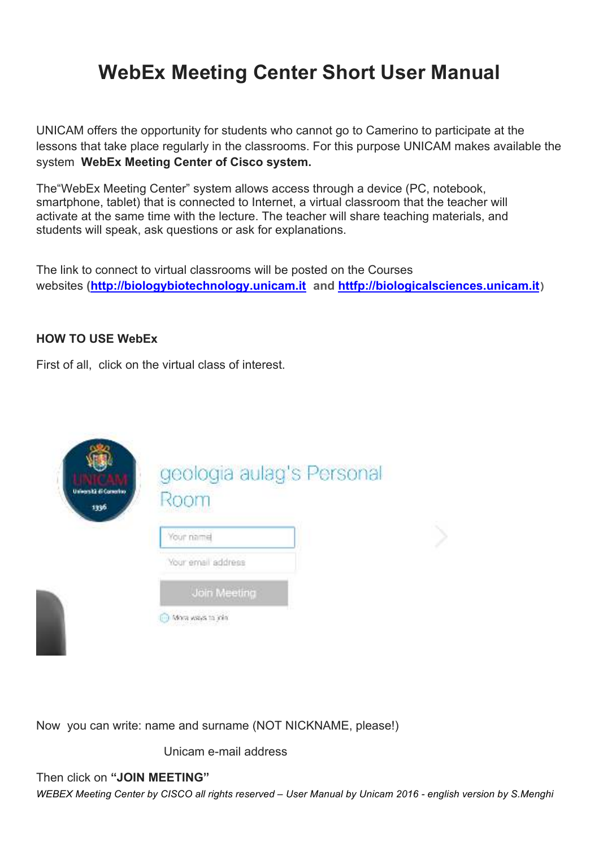# **WebEx Meeting Center Short User Manual**

UNICAM offers the opportunity for students who cannot go to Camerino to participate at the lessons that take place regularly in the classrooms. For this purpose UNICAM makes available the system **WebEx Meeting Center of Cisco system.**

The"WebEx Meeting Center" system allows access through a device (PC, notebook, smartphone, tablet) that is connected to Internet, a virtual classroom that the teacher will activate at the same time with the lecture. The teacher will share teaching materials, and students will speak, ask questions or ask for explanations.

The link to connect to virtual classrooms will be posted on the Courses websites **(http://biologybiotechnology.unicam.it and httfp://biologicalsciences.unicam.it)**

## **HOW TO USE WebEx**

First of all, click on the virtual class of interest.



Now you can write: name and surname (NOT NICKNAME, please!)

Unicam e-mail address

Then click on **"JOIN MEETING"**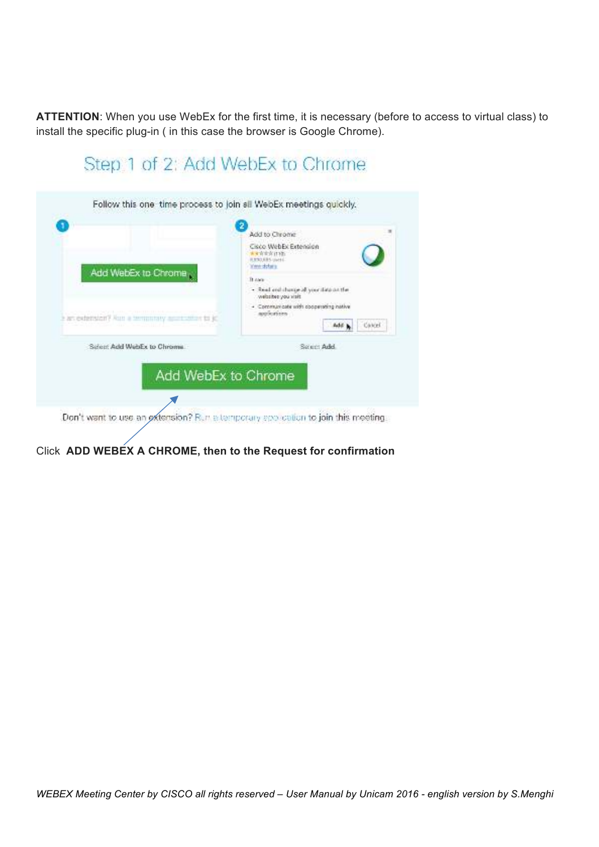**ATTENTION**: When you use WebEx for the first time, it is necessary (before to access to virtual class) to install the specific plug-in ( in this case the browser is Google Chrome).

| Follow this one time process to join sli WebEx meetings quickly. |                                                                                             |
|------------------------------------------------------------------|---------------------------------------------------------------------------------------------|
|                                                                  | Add to Chrome                                                                               |
| Add WebEx to Chrome<br><b>Eart extension? Aun a</b>              | Cisco WebEx Extension<br><b>Kandidate Science</b><br><b>KINDERS</b> USEE<br>Vereindichstrag |
|                                                                  | D. Alex                                                                                     |
|                                                                  | - Real and change of your data as the<br>Nelschee you sisit                                 |
|                                                                  | - Communicate with obogerating hative<br>approximates                                       |
|                                                                  | Cancel<br>Add:                                                                              |
| Sident Add WebEx to Chrome.                                      | Select Add                                                                                  |
|                                                                  |                                                                                             |
| Add WebEx to Chrome                                              |                                                                                             |

Click **ADD WEBEX A CHROME, then to the Request for confirmation**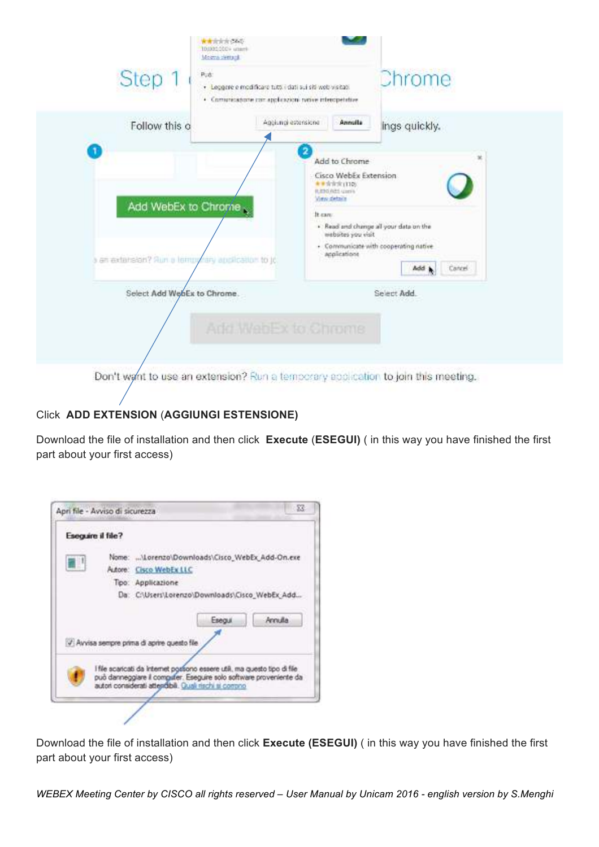| Step 1                                                                 | $P_{\nu}$<br>· Leggere e modificare tutti i dati sui siti web visitati<br>· Comunicadorte con applicazioni rivore interopetative | <b>Chrome</b>                                                                                                                                                    |
|------------------------------------------------------------------------|----------------------------------------------------------------------------------------------------------------------------------|------------------------------------------------------------------------------------------------------------------------------------------------------------------|
| Follow this o                                                          | Agolungi estensione                                                                                                              | Annulla<br>ings quickly.                                                                                                                                         |
| Add WebEx to Chrome<br>an extension? Aun a lempy any application to jo | ★●含含定(110)<br><b>B. ETG REE USES</b><br>View debate<br>It cars:                                                                  | Cisco WebEx Extension<br>. Read and change all your data on the<br>mebates you visit<br>· Communicate with cooperating native<br>applications<br>Add b<br>Cancel |
| Select Add WebEx to Chrome.                                            | Add WebEx to Chrome                                                                                                              | Select Add.                                                                                                                                                      |

# Click **ADD EXTENSION** (**AGGIUNGI ESTENSIONE)**

Download the file of installation and then click **Execute** (**ESEGUI)** ( in this way you have finished the first part about your first access)



Download the file of installation and then click **Execute (ESEGUI)** ( in this way you have finished the first part about your first access)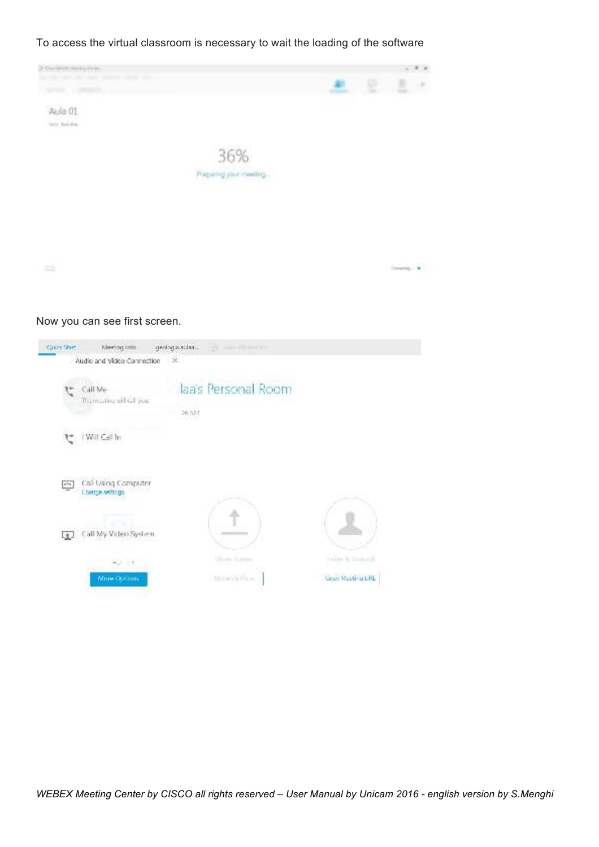To access the virtual classroom is necessary to wait the loading of the software



#### Now you can see first screen.

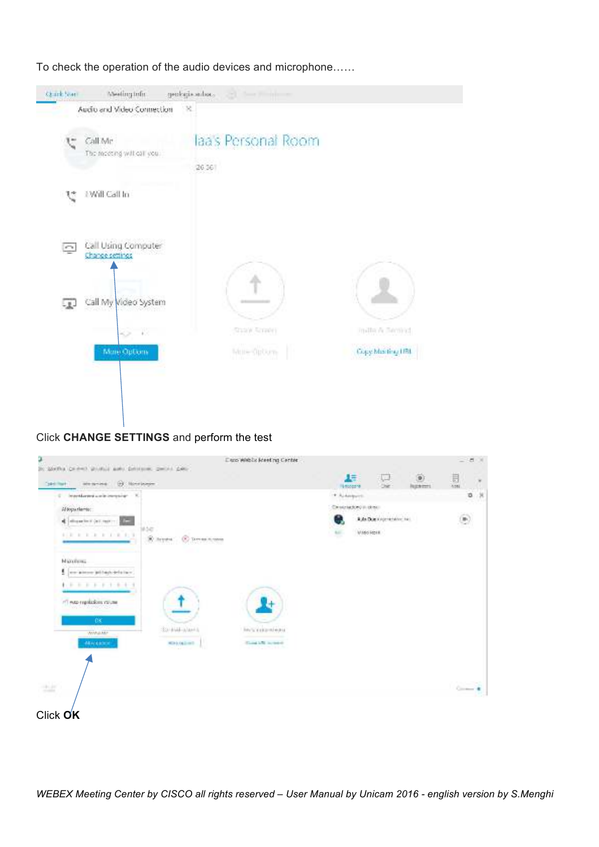To check the operation of the audio devices and microphone……



## Click **CHANGE SETTINGS** and perform the test

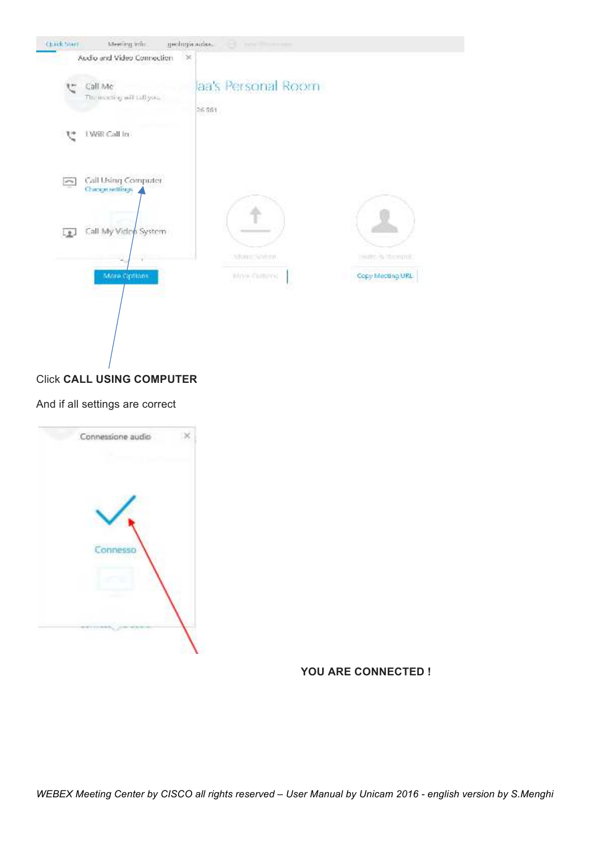

#### Click **CALL USING COMPUTER**

#### And if all settings are correct



#### **YOU ARE CONNECTED !**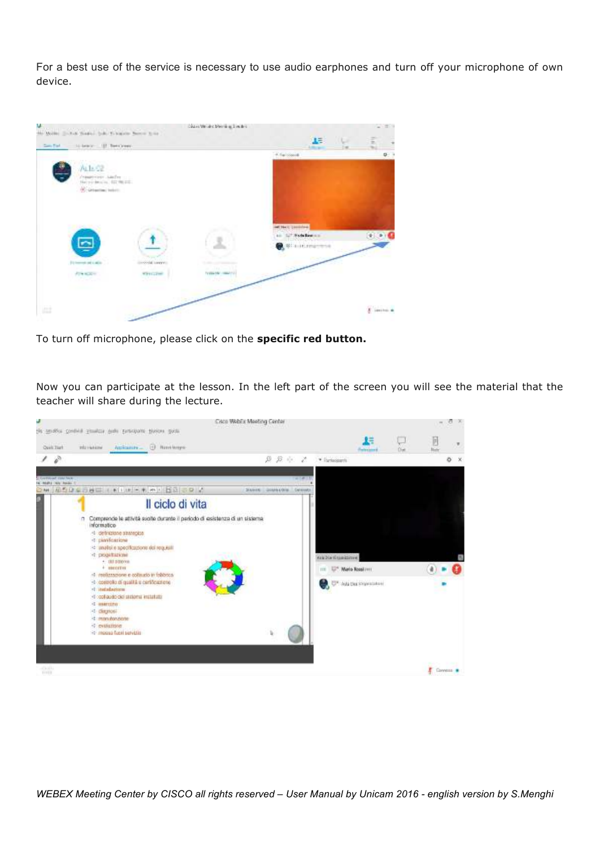For a best use of the service is necessary to use audio earphones and turn off your microphone of own device.



To turn off microphone, please click on the **specific red button.**

Now you can participate at the lesson. In the left part of the screen you will see the material that the teacher will share during the lecture.

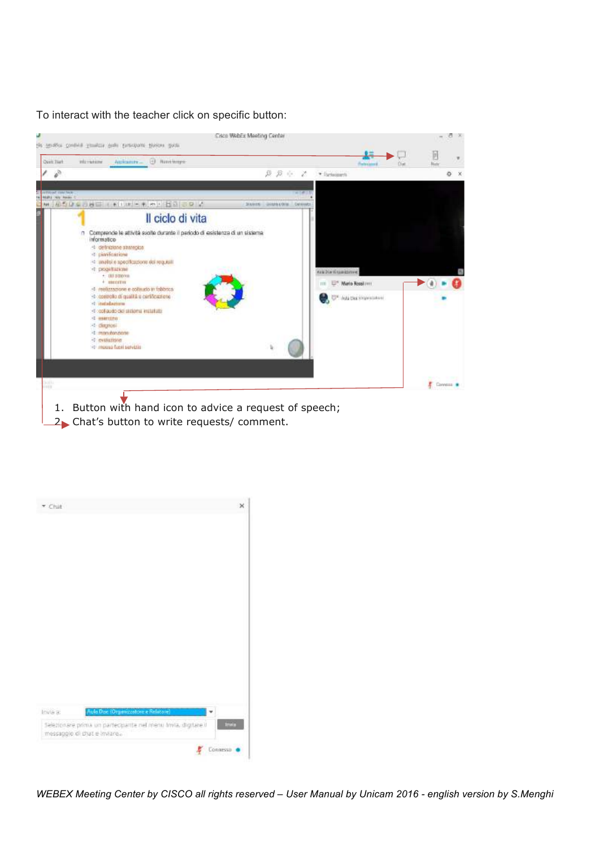To interact with the teacher click on specific button:



- 1. Button with hand icon to advice a request of speech;
- 2. Chat's button to write requests/ comment.